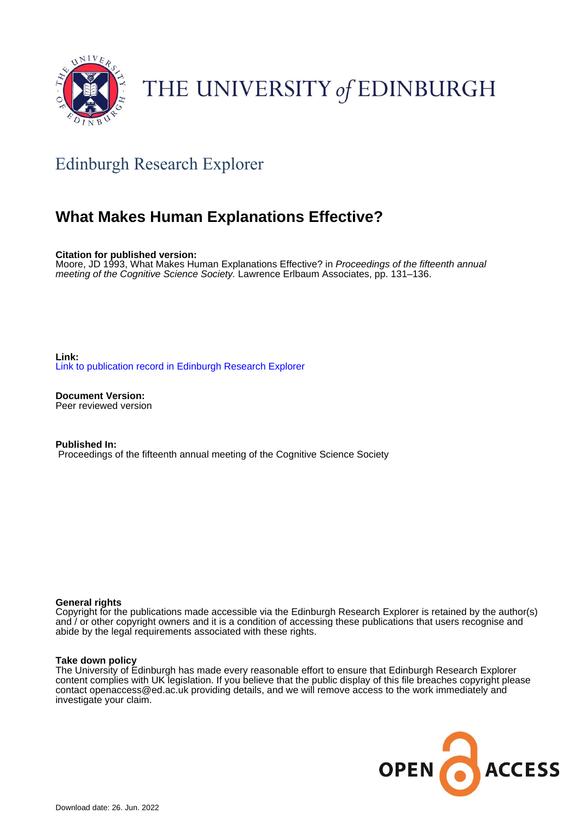

# THE UNIVERSITY of EDINBURGH

# Edinburgh Research Explorer

# **What Makes Human Explanations Effective?**

**Citation for published version:**

Moore, JD 1993, What Makes Human Explanations Effective? in Proceedings of the fifteenth annual meeting of the Cognitive Science Society. Lawrence Erlbaum Associates, pp. 131–136.

**Link:** [Link to publication record in Edinburgh Research Explorer](https://www.research.ed.ac.uk/en/publications/9ef4b7f9-2c87-4bce-a9a2-9e719d3ea14d)

**Document Version:** Peer reviewed version

**Published In:** Proceedings of the fifteenth annual meeting of the Cognitive Science Society

#### **General rights**

Copyright for the publications made accessible via the Edinburgh Research Explorer is retained by the author(s) and / or other copyright owners and it is a condition of accessing these publications that users recognise and abide by the legal requirements associated with these rights.

#### **Take down policy**

The University of Edinburgh has made every reasonable effort to ensure that Edinburgh Research Explorer content complies with UK legislation. If you believe that the public display of this file breaches copyright please contact openaccess@ed.ac.uk providing details, and we will remove access to the work immediately and investigate your claim.

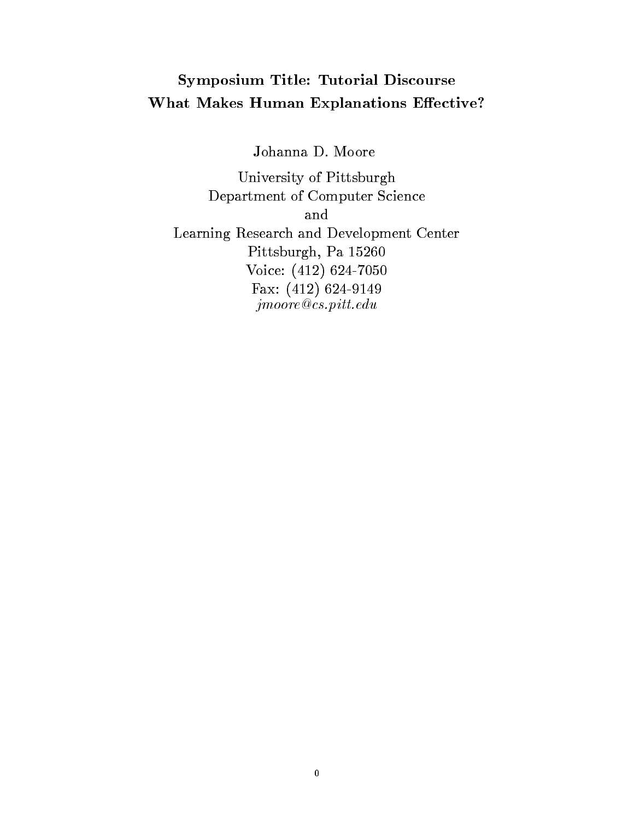# Symposium Title- Tutorial Discourse What Makes Human Explanations Effective?

a Johanna Johanna David David David David David David David David David David David David David David David Da

University of PittsburghDepartment of Computer ScienceandLearning Research and Development CenterPittsburgh, Pa 15260 VOICC. LILL 02 I TOOO T & A . T T T & T W & T & M T & T jmoore-cspittedu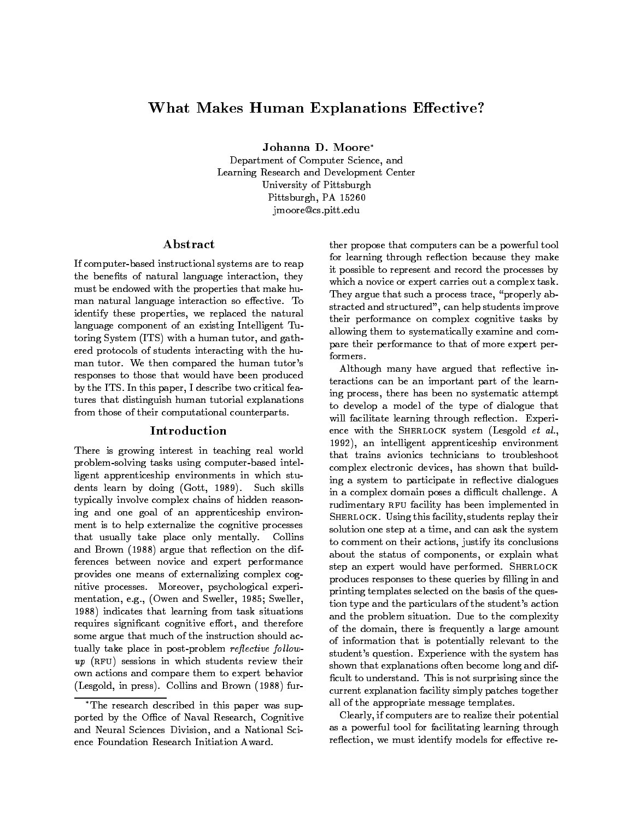## What Makes Human Explanations Effective?

Johanna D- Moore

Department of Computer Science- and Learning Research and Development Center University of Pittsburgh Pittsburgh- PA jmoore@cs.pitt.edu

#### Abstract

If computer-based instructional systems are to reap the bene ts of natural language interaction- they must be endowed with the properties that make hu man natural language interaction so effective. To identify these properties- we replaced the natural language component of an existing Intelligent Tu to the system (i.e., with a human tutor) and gath the ered protocols of students interacting with the hu man tutor. We then compared the human tutor's responses to those that would have been produced ., the ITS In this paper, a describe two critical features tures that distinguish human tutorial explanations from those of their computational counterparts

#### Introduction

There is growing interest in teaching real world problem-solving tasks using computer-based intelligent apprenticeship environments in which stu administers and documental and controlled and controlled and controlled and controlled and controlled and controlled typically involve complex chains of hidden reason ing and one goal of an apprenticeship environ ment is to help externalize the cognitive processes that usually take place only mentally. Collins and Brown (1988) argue that reflection on the differences between novice and expert performance provides one means of externalizing complex cog nitive processes and control proponental experiments mentation- eg- Owen and Sweller- Sweller-1988) indicates that learning from task situations requires significant eorganises sitted, and therefore a some argue that much of the instruction should ac to the place in post problem represents for  $\mathcal{C}$  $up$  (RFU) sessions in which students review their own actions and compare them to expert behavior Lesgold- in press
 Collins and Brown 
 fur 

ther propose that computers can be a powerful tool for learning through reflection because they make it possible to represent and record the processes by which a novice or expert carries out a complex task They argue that such a process trace- properly ab stracted and structured-structured-structured-structure in their performance on complex cognitive tasks by allowing them to systematically examine and com pare their performance to that of more expert per formers.

Although many have argued that reflective interactions can be an important part of the learn ing process- there has been no systematic attempt to develop a model of the type of dialogue that will facilitate learning through reflection. Experience with the SHERLOCK system (Lesgold  $et$  al., - an intelligent apprenticeship environment that trains avionics technicians to troubleshoot complex electronic devices, who that build complete that build ing a system to participate in reflective dialogues in a complex domain poses a difficult challenge. A rudimentary RFU facility has been implemented in studies is facility that the facility of the fact the play the facility of the studies of the studies of the s solution one step at a time- and can ask the system to comment on the comment on the internal comment on the conclusions-weaker actions-weaker actions-weaker actionsabout the status of components-increases of components-increases  $\mathbf{I}$  , where  $\mathbf{I}$ step an expert would have performed. SHERLOCK produces responses to these queries by lling in and printing templates selected on the basis of the ques tion type and the particulars of the student's action and the problem situation. Due to the complexity the the domain-there is frequently a large amount  $\sim$ of information that is potentially relevant to the student's question. Experience with the system has shown that explanations often become long and dif cult to understand This is not surprising since the current explanation facility simply patches together all of the appropriate message templates

clearly-to-clearly-clearly-clearly-clearly-clearly-clearly-clearly-clearly-clearly-clearly-clearly-clearly-clearlyas a powerful tool for facilitating learning through reection- we must identify models for extensive relationships and the extensive relationships of extensive rela

The research described in this paper was sup ported by the Oce of Naval Research- Cognitive and Neural Sciences Division-Neural Sciences Division-Neural Sciences Division-Neural Sciences Division-Neural ence Foundation Research Initiation Award.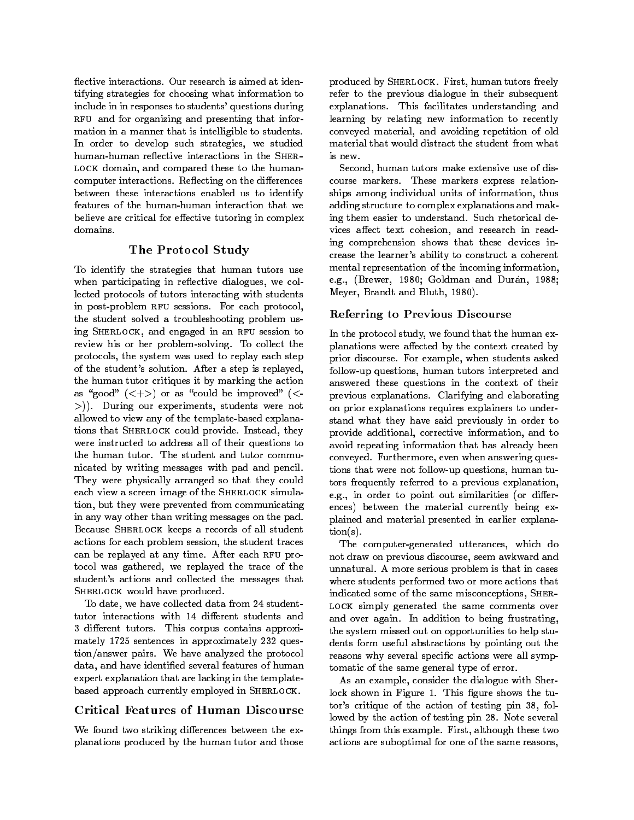flective interactions. Our research is aimed at identifying strategies for choosing what information to include in in responses to students' questions during RFU and for organizing and presenting that information in a manner that is intelligible to students In order to develop such strategies- we studied human-human reflective interactions in the SHERalock domain- and compared the the the moment computer interactions. Reflecting on the differences between these interactions enabled us to identify features of the human-human interaction that we believe are critical for effective tutoring in complex domains.

### The Protocol Study

To identify the strategies that human tutors use when participating in reactive dialogues, we col lected protocols of tutors interacting with students in post-problem RFU sessions. For each protocol, the student solved a troubleshooting problem us ing Sherlock- and engaged in an rfu session to review his or her problem-solving. To collect the protocols- the system was used to replay each step of the student's solution. After a step is replayed, the human tutor critiques it by marking the action as good in the course of the compact of the second could be in the could be in the could be in the could be improved a second of the could be improved as a second of the could be in the could be in the could be in the coul - During our experiments- students were not allowed to view any of the template-based explanations that Sherlock could provide Institute Institute Institute were instructed to address all of their questions to the human tutor. The student and tutor communicated by writing messages with pad and pencil They were physically arranged so that they could each view a screen image of the SHERLOCK simulation-but they were prevented from communicating from communicating from communicating from communicating from c in any way other than writing messages on the pad Because SHERLOCK keeps a records of all student actions for each problem session-session-session-session-session-session-session-session-session-session-sessi can be replayed at any time. After each RFU proto the west gathered-we replayed the the theory of the t student's actions and collected the messages that SHERLOCK would have produced.

<u>st date, we see from die data from 2000 verwordt</u> tutor interactions with 14 different students and 3 different tutors. This corpus contains approximately 1725 sentences in approximately 232 question/answer pairs. We have analyzed the protocol data- and have identi ed several features of human expert explanation that are lacking in the template based approach currently employed in SHERLOCK.

### Critical Features of Human Discourse

We found two striking differences between the explanations produced by the human tutor and those

produced by Sherlock First-Bird, manufactured by Eq. ( refer to the previous dialogue in their subsequent explanations. This facilitates understanding and learning by relating new information to recently conveyed material-based material-based material-based material-based material-based material-based material-based material-based material-based material-based material-based material-based material-based material-based mat material that would distract the student from what is new.

Second- human tutors make extensive use of dis course markers. These markers express relationships among individual units of information- thus adding structure to complex explanations and mak ing them easier to understand. Such rhetorical devices aect text cohesion-search in reading the cohesion-search in reading the cohesion-search in reading the c ing comprehension shows that these devices in crease the learner's ability to construct a coherent mental representation of the incoming information, eg- Brewer- Goldman and Duran- Meyer- Brandt and Bluth-

#### Referring to Previous Discourse

In the protocol study- we found that the human ex planations were affected by the context created by prior discourse For example- when students asked follow up questions- human tutors interpreted and answered these questions in the context of their previous explanations Clarifying and elaborating on prior explanations requires explainers to under stand what they have said previously in order to provide a dition-distance information-distance information-distance informationavoid repeating information that has already been conveyed Furthermore- even when answering ques tions that were not follow the questions-questionstors frequently referred to a previous explanation, eg- in order to point out similarities or dier ences
 between the material currently being ex plained and material presented in earlier explana  $tion(s)$ . tion is a structure of the structure of the structure of the structure of the structure of the structure of the

The computer  $\mathbf{r}$  and  $\mathbf{r}$  and  $\mathbf{r}$  and  $\mathbf{r}$  and  $\mathbf{r}$  and  $\mathbf{r}$  and  $\mathbf{r}$ not draw on previous discourse- seem awkward and unnatural. A more serious problem is that in cases where students performed two or more actions that indicated some of the same misconceptions- Sher-LOCK simply generated the same comments over and over again. In addition to being frustrating, the system missed out on opportunities to help stu dents form useful abstractions by pointing out the reasons were actions were all sympathetic were all sympathy tomatic of the same general type of error

as as example, the dialogue with Sherican Sherican Computer lock shown in Figure This gure shows the tu tors critique of the action of testing pin - fol lowed by the action of testing pin 28. Note several things from this example First- although these two actions are suboptimal for one of the same reasons,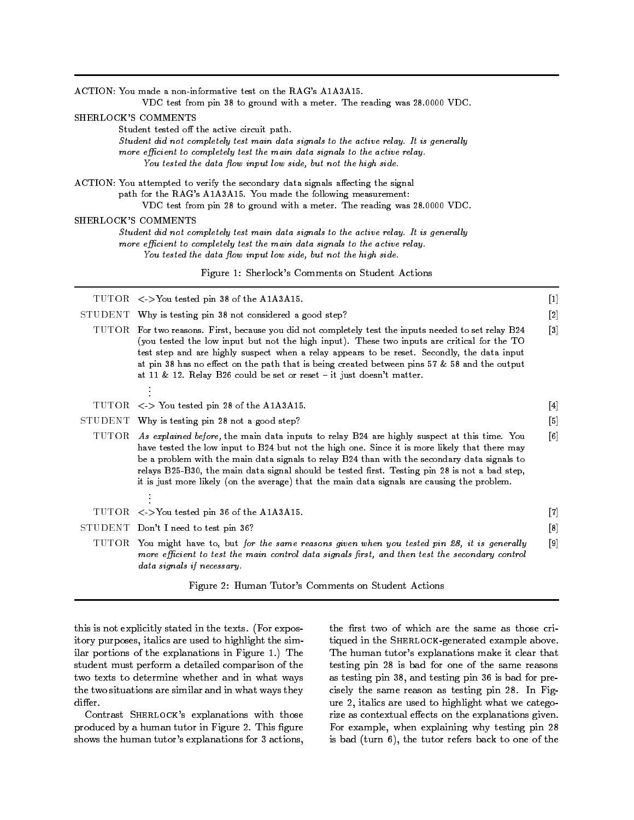|                                                                                                                                                                                                                                                                                                                                                                                                                                                                                                                                                                                                                                                                                                                                                                                                                        | ACTION: You made a non-informative test on the RAG's A1A3A15.<br>VDC test from pin 38 to ground with a meter. The reading was 28.0000 VDC.                                                                                                                                                                                                                                                                                                                                                                                                            |                                   |  |  |                                                  |       |
|------------------------------------------------------------------------------------------------------------------------------------------------------------------------------------------------------------------------------------------------------------------------------------------------------------------------------------------------------------------------------------------------------------------------------------------------------------------------------------------------------------------------------------------------------------------------------------------------------------------------------------------------------------------------------------------------------------------------------------------------------------------------------------------------------------------------|-------------------------------------------------------------------------------------------------------------------------------------------------------------------------------------------------------------------------------------------------------------------------------------------------------------------------------------------------------------------------------------------------------------------------------------------------------------------------------------------------------------------------------------------------------|-----------------------------------|--|--|--------------------------------------------------|-------|
| SHERLOCK'S COMMENTS<br>Student tested off the active circuit path.<br>Student did not completely test main data signals to the active relay. It is generally<br>more efficient to completely test the main data signals to the active relay.<br>You tested the data flow input low side, but not the high side.<br>ACTION: You attempted to verify the secondary data signals affecting the signal<br>path for the RAG's A1A3A15. You made the following measurement:<br>VDC test from pin 28 to ground with a meter. The reading was 28.0000 VDC.<br>SHERLOCK'S COMMENTS<br>Student did not completely test main data signals to the active relay. It is generally<br>more efficient to completely test the main data signals to the active relay.<br>You tested the data flow input low side, but not the high side. |                                                                                                                                                                                                                                                                                                                                                                                                                                                                                                                                                       |                                   |  |  |                                                  |       |
|                                                                                                                                                                                                                                                                                                                                                                                                                                                                                                                                                                                                                                                                                                                                                                                                                        |                                                                                                                                                                                                                                                                                                                                                                                                                                                                                                                                                       |                                   |  |  | Figure 1: Sherlock's Comments on Student Actions |       |
|                                                                                                                                                                                                                                                                                                                                                                                                                                                                                                                                                                                                                                                                                                                                                                                                                        |                                                                                                                                                                                                                                                                                                                                                                                                                                                                                                                                                       |                                   |  |  | TUTOR <>You tested pin 38 of the A1A3A15.        | $[1]$ |
|                                                                                                                                                                                                                                                                                                                                                                                                                                                                                                                                                                                                                                                                                                                                                                                                                        | STUDENT Why is testing pin 38 not considered a good step?                                                                                                                                                                                                                                                                                                                                                                                                                                                                                             | $[2]$                             |  |  |                                                  |       |
|                                                                                                                                                                                                                                                                                                                                                                                                                                                                                                                                                                                                                                                                                                                                                                                                                        | TUTOR For two reasons. First, because you did not completely test the inputs needed to set relay B24<br>(you tested the low input but not the high input). These two inputs are critical for the TO<br>test step and are highly suspect when a relay appears to be reset. Secondly, the data input<br>at pin 38 has no effect on the path that is being created between pins 57 & 58 and the output<br>at 11 & 12. Relay B26 could be set or reset $-$ it just doesn't matter.                                                                        | $[3]$                             |  |  |                                                  |       |
|                                                                                                                                                                                                                                                                                                                                                                                                                                                                                                                                                                                                                                                                                                                                                                                                                        |                                                                                                                                                                                                                                                                                                                                                                                                                                                                                                                                                       |                                   |  |  |                                                  |       |
|                                                                                                                                                                                                                                                                                                                                                                                                                                                                                                                                                                                                                                                                                                                                                                                                                        | TUTOR <> You tested pin 28 of the A1A3A15.                                                                                                                                                                                                                                                                                                                                                                                                                                                                                                            | $[4]$                             |  |  |                                                  |       |
|                                                                                                                                                                                                                                                                                                                                                                                                                                                                                                                                                                                                                                                                                                                                                                                                                        | STUDENT Why is testing pin 28 not a good step?<br>TUTOR As explained before, the main data inputs to relay B24 are highly suspect at this time. You<br>have tested the low input to B24 but not the high one. Since it is more likely that there may<br>be a problem with the main data signals to relay B24 than with the secondary data signals to<br>relays B25-B30, the main data signal should be tested first. Testing pin 28 is not a bad step,<br>it is just more likely (on the average) that the main data signals are causing the problem. | $[5]$<br>$\lceil 6 \rceil$        |  |  |                                                  |       |
|                                                                                                                                                                                                                                                                                                                                                                                                                                                                                                                                                                                                                                                                                                                                                                                                                        | TUTOR <>You tested pin 36 of the A1A3A15.                                                                                                                                                                                                                                                                                                                                                                                                                                                                                                             | $\begin{bmatrix} 7 \end{bmatrix}$ |  |  |                                                  |       |
|                                                                                                                                                                                                                                                                                                                                                                                                                                                                                                                                                                                                                                                                                                                                                                                                                        | STUDENT Don't I need to test pin 36?                                                                                                                                                                                                                                                                                                                                                                                                                                                                                                                  | [8]                               |  |  |                                                  |       |
|                                                                                                                                                                                                                                                                                                                                                                                                                                                                                                                                                                                                                                                                                                                                                                                                                        | TUTOR You might have to, but for the same reasons given when you tested pin 28, it is generally<br>more efficient to test the main control data signals first, and then test the secondary control<br>data signals if necessary.                                                                                                                                                                                                                                                                                                                      | $[9]$                             |  |  |                                                  |       |
|                                                                                                                                                                                                                                                                                                                                                                                                                                                                                                                                                                                                                                                                                                                                                                                                                        | Figure 2: Human Tutor's Comments on Student Actions                                                                                                                                                                                                                                                                                                                                                                                                                                                                                                   |                                   |  |  |                                                  |       |

this is not explicitly stated in the texts. (For expository purposes-bias are used to highlight the simulation of the simulation of the simulation of the simulation ilar portions of the explanations in Figure 1.) The student must perform a detailed comparison of the two texts to determine whether and in what ways the two situations are similar and in what ways they

Contrast SHERLOCK's explanations with those produced by a monomer case of Figure . This request shows the human tutor's explanations for 3 actions,

tiqued in the SHERLOCK-generated example above. The human tutor's explanations make it clear that testing pin 28 is bad for one of the same reasons as testing pin tij mein testing pin te de saat een pin v cisely the same reason as testing pin 28. In Figare a fitting are used to angularing what we category rize as contextual effects on the explanations given. For example- when explaining why testing pin is bad turn 
- the tutor refers back to one of the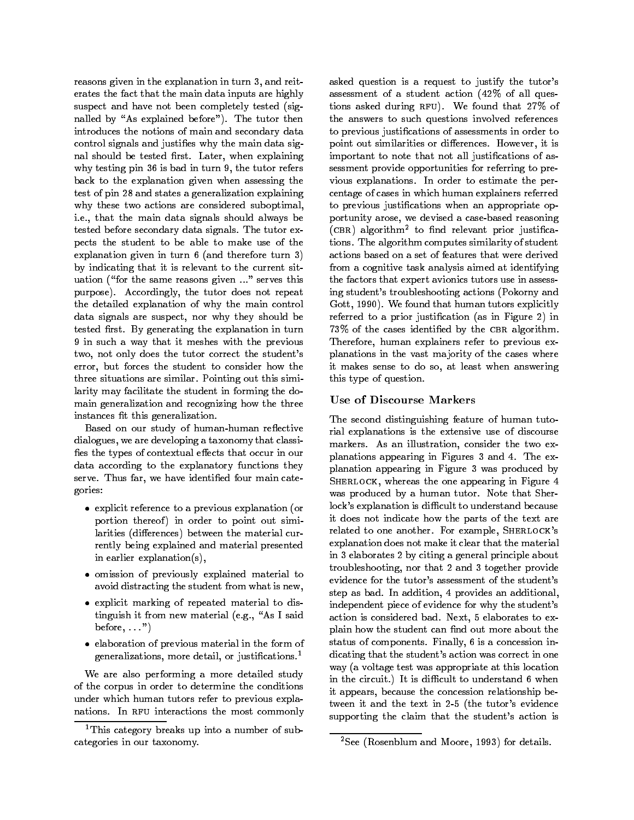reasons given in the explanation in turn - and reit erates the fact that the main data inputs are highly suspect and have not been completely tested (signalled by "As explained before"). The tutor then introduces the notions of main and secondary data control signals and justice why the main data signals and justice why the main data signals are the main data s nal should be tested rst Later- when explaining why testing pin to be the the turn of the turn and the turn. back to the explanation given when assessing the test of pin 28 and states a generalization explaining why these two actions are considered suboptimal, ie- that the main data signals should always be tested before secondary data signals. The tutor expects the student to be able to make use of the explanation given in turn  $6$  (and therefore turn 3) by indicating that it is relevant to the current sit uation ("for the same reasons given ..." serves this purpose Accordingly- the tutor does not repeat the detailed explanation of why the main control data signals are suspected between the showling and why they showling between  $\mathcal{A}$ tested rst By generating the explanation in turn 9 in such a way that it meshes with the previous two- not only does the tutor correct the students error- but forces the student to consider how the three situations are similar. Pointing out this similarity may facilitate the student in forming the do main generalization and recognizing how the three instances in the contract of  $\mathbf{f}$  the contract of  $\mathbf{f}$ 

Based on our study of human-human reflective dialogues-a taxonomy that classical distribution and classical distribution of the classical distribution of the classical distribution of the classical distribution of the classical distribution of the classical distribut es the types of contextual extension of contextual extension of contextual extension of contextual extension of data according to the explanatory functions they serve Thus far- we have identi ed four main cate gories

- explicit reference to a previous explanation or portion thereof) in order to point out similarities (differences) between the material currently being explained and material presented in earlier explanation( $s$ ),
- omission of previously explained material to avoid distracting the student from what is new,
- explicit marking of repeated material to dis tinguish it follows are all the material experiments of the same control of the same control of the same control of the same control of the same control of the same control of the same control of the same control of the sa before-
- elaboration of previous material in the form of generalizations, more detail, or justincations.

We are also performing a more detailed study of the corpus in order to determine the conditions under which human tutors refer to previous expla nations. In RFU interactions the most commonly asked question is a request to justify the tutor's assessment of a student action  $(42\% \text{ of all ques-})$ tions asked during  $RFU$ ). We found that 27% of the answers to such questions involved references to previous justi cations of assessments in order to point out similarities or dierences However- it is important to note that not all justi cations of as sessment provide opportunities for referring to pre vious explanations. In order to estimate the percentage of cases in which human explainers referred to previous justi cations when an appropriate op portunity arose- we devised a case based reasoning (CBR) algorithm- to find relevant prior justincations. The algorithm computes similarity of student actions based on a set of features that were derived from a cognitive task analysis aimed at identifying the factors that expert avionics tutors use in assess ing student's troubleshooting actions (Pokorny and discussion and the found tutors explicitly that human tutors explicitly and tutors explicitly and tutors explicitly and referred to a prior justice of the prior justice  $\mathbf{r}_i$  and  $\mathbf{r}_i$  are in Figure , we have the prior justice of the prior justice of the prior justice of the prior justice of the prior justice of the prior justice of of the case is the chronocle in the change of the complete change of the contract of the contract of the contract of Therefore- human explainers refer to previous ex planations in the vast majority of the cases where it makes start it at 11, at 11m1. Haid makes the so this type of question

#### Use of Discourse Markers

The second distinguishing feature of human tuto rial explanations is the extensive use of discourse markers As an illustration- consider the two ex planations appearing in Figures 3 and 4. The explanation appearing in Figure 3 was produced by sherlock-the one and the one appearing in Figure was produced by a human tutor. Note that Sherlock's explanation is difficult to understand because it does not indicate how the parts of the text are related to one another For example- Sherlocks explanation does not make it clear that the material in 3 elaborates 2 by citing a general principle about troubleshooting- nor that and together provide evidence for the tutor's assessment of the student's step as bada in addition-left in provides an additionalindependent piece of evidence for why the student's action is considered bad along to example it is to the plant how the student can be student can be student can be student can be student that the student can be stud status of components Finally-induced and components Finally-induced and components Finally-induced and concession in dicating that the student's action was correct in one way (a voltage test was appropriate at this location in the circuit.) It is difficult to understand 6 when it appears- because the concession relationship be tween it and the text in 2-5 (the tutor's evidence supporting the claim that the student's action is

<sup>&</sup>lt;sup>1</sup>This category breaks up into a number of subcategories in our taxonomy

<sup>-</sup>See (Rosenblum and Moore, 1993) for details.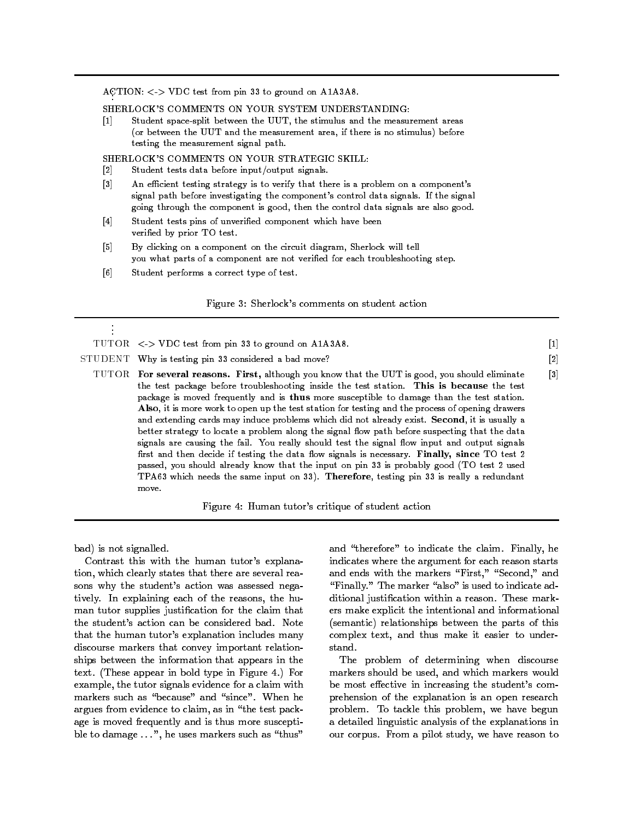$A \cup I$ ION:  $\langle \rangle$  vDC test from pin so to ground on ATASA.

SHERLOCK'S COMMENTS ON YOUR SYSTEM UNDERSTANDING:

[1] Student space-split between the UUT, the stimulus and the measurement areas (or between the UUT and the measurement area, if there is no stimulus) before testing the measurement signal path

SHERLOCK'S COMMENTS ON YOUR STRATEGIC SKILL:

- $\lceil 2 \rceil$ Student tests data before input/output signals.
- [3] An efficient testing strategy is to verify that there is a problem on a component's signal path before investigating the component's control data signals. If the signal going through the component is good, then the control data signals are also good.
- [4] Student tests pins of unverified component which have been verified by prior TO test.
- [5] By clicking on a component on the circuit diagram, Sherlock will tell you what parts of a component are not verified for each troubleshooting step.
- [6] Student performs a correct type of test.

#### Figure 3: Sherlock's comments on student action

| $\mathbf{r}$ |                                                                                                                                                                                                                                                                                                                                                                                                                                                                                                                                                                                                                                                                                                                                                                                                                                                                                                                                                                                           |                   |
|--------------|-------------------------------------------------------------------------------------------------------------------------------------------------------------------------------------------------------------------------------------------------------------------------------------------------------------------------------------------------------------------------------------------------------------------------------------------------------------------------------------------------------------------------------------------------------------------------------------------------------------------------------------------------------------------------------------------------------------------------------------------------------------------------------------------------------------------------------------------------------------------------------------------------------------------------------------------------------------------------------------------|-------------------|
|              | TUTOR $\langle \rangle$ VDC test from pin 33 to ground on A1A3A8.                                                                                                                                                                                                                                                                                                                                                                                                                                                                                                                                                                                                                                                                                                                                                                                                                                                                                                                         | $\left[1\right]$  |
|              | STUDENT Why is testing pin 33 considered a bad move?                                                                                                                                                                                                                                                                                                                                                                                                                                                                                                                                                                                                                                                                                                                                                                                                                                                                                                                                      | [2]               |
|              | TUTOR For several reasons. First, although you know that the UUT is good, you should eliminate<br>the test package before troubleshooting inside the test station. This is because the test<br>package is moved frequently and is thus more susceptible to damage than the test station.<br>Also, it is more work to open up the test station for testing and the process of opening drawers<br>and extending cards may induce problems which did not already exist. Second, it is usually a<br>better strategy to locate a problem along the signal flow path before suspecting that the data<br>signals are causing the fail. You really should test the signal flow input and output signals<br>first and then decide if testing the data flow signals is necessary. Finally, since TO test 2<br>passed, you should already know that the input on pin 33 is probably good (TO test 2 used<br>TPA63 which needs the same input on 33). Therefore, testing pin 33 is really a redundant | $\lceil 3 \rceil$ |

Figure 4: Human tutor's critique of student action

bad
 is not signalled

 $_{\text{move}}$ 

Contrast this with the human tutor's explanation- which clearly states that there are several rea sons why the student's action was assessed negatively In explaining each of the reasons- the hu man tutor supplies justi cation for the claim that the student's action can be considered bad. Note that the human tutor's explanation includes many discourse markers that convey important relation ships between the information that appears in the text. (These appear in bold type in Figure 4.) For example-tutor signals evidence for a claim with the tutor signals evidence for a claim with with with with with markers such as "because" and "since". When he argues from evidence to claim-in the test the pack age is moved frequently and is thus more suscepti ble to damage ... , all as the complete such as the such as

and therefore to indicate the condition finally  $\mathcal{A}$ indicates where the argument for each reason starts and the with the maximum first-, first-find, the match "Finally." The marker "also" is used to indicate adational justiciation colored a reason These market ers make explicit the intentional and informational (semantic) relationships between the parts of this complex text-distribution and the second text-distribution and the second text-distribution and thus make it e stand.

The problem of determining when discourse markers should be used-which markers would be used-which markers would be used-which markers would be used-which markers would be most effective in increasing the student's comprehension of the explanation is an open research problems to the this problem, we have begun the a detailed linguistic analysis of the explanations in our corpus From a pilot study- we have reason to